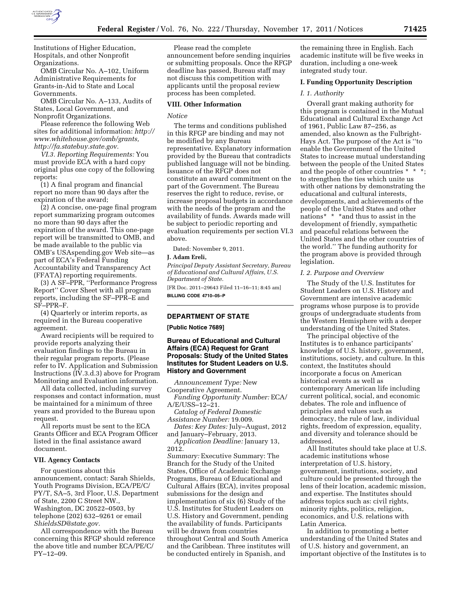

Institutions of Higher Education, Hospitals, and other Nonprofit Organizations.

OMB Circular No. A–102, Uniform Administrative Requirements for Grants-in-Aid to State and Local Governments.

OMB Circular No. A–133, Audits of States, Local Government, and Nonprofit Organizations.

Please reference the following Web sites for additional information: *[http://](http://www.whitehouse.gov/omb/grants) [www.whitehouse.gov/omb/grants,](http://www.whitehouse.gov/omb/grants)  http://fa.statebuy.state.gov.* 

*VI.3. Reporting Requirements:* You must provide ECA with a hard copy original plus one copy of the following reports:

(1) A final program and financial report no more than 90 days after the expiration of the award;

(2) A concise, one-page final program report summarizing program outcomes no more than 90 days after the expiration of the award. This one-page report will be transmitted to OMB, and be made available to the public via OMB's USAspending.gov Web site—as part of ECA's Federal Funding Accountability and Transparency Act (FFATA) reporting requirements.

(3) A SF–PPR, ''Performance Progress Report'' Cover Sheet with all program reports, including the SF–PPR–E and SF–PPR–F.

(4) Quarterly or interim reports, as required in the Bureau cooperative agreement.

Award recipients will be required to provide reports analyzing their evaluation findings to the Bureau in their regular program reports. (Please refer to IV. Application and Submission Instructions (IV.3.d.3) above for Program Monitoring and Evaluation information.

All data collected, including survey responses and contact information, must be maintained for a minimum of three years and provided to the Bureau upon request.

All reports must be sent to the ECA Grants Officer and ECA Program Officer listed in the final assistance award document.

### **VII. Agency Contacts**

For questions about this announcement, contact: Sarah Shields, Youth Programs Division, ECA/PE/C/ PY/T, SA–5, 3rd Floor, U.S. Department of State, 2200 C Street NW., Washington, DC 20522–0503, by telephone (202) 632–9261 or email *[ShieldsSD@state.gov.](mailto:ShieldsSD@state.gov)* 

All correspondence with the Bureau concerning this RFGP should reference the above title and number ECA/PE/C/ PY–12–09.

Please read the complete announcement before sending inquiries or submitting proposals. Once the RFGP deadline has passed, Bureau staff may not discuss this competition with applicants until the proposal review process has been completed.

#### **VIII. Other Information**

# *Notice*

The terms and conditions published in this RFGP are binding and may not be modified by any Bureau representative. Explanatory information provided by the Bureau that contradicts published language will not be binding. Issuance of the RFGP does not constitute an award commitment on the part of the Government. The Bureau reserves the right to reduce, revise, or increase proposal budgets in accordance with the needs of the program and the availability of funds. Awards made will be subject to periodic reporting and evaluation requirements per section VI.3 above.

Dated: November 9, 2011.

## **J. Adam Ereli,**

*Principal Deputy Assistant Secretary, Bureau of Educational and Cultural Affairs, U.S. Department of State.* 

[FR Doc. 2011–29643 Filed 11–16–11; 8:45 am] **BILLING CODE 4710–05–P** 

# **DEPARTMENT OF STATE**

**[Public Notice 7689]** 

## **Bureau of Educational and Cultural Affairs (ECA) Request for Grant Proposals: Study of the United States Institutes for Student Leaders on U.S. History and Government**

*Announcement Type:* New Cooperative Agreement.

*Funding Opportunity Number:* ECA/ A/E/USS–12–21.

*Catalog of Federal Domestic Assistance Number:* 19.009.

*Dates: Key Dates:* July–August, 2012 and January–February, 2013.

*Application Deadline:* January 13, 2012.

*Summary:* Executive Summary: The Branch for the Study of the United States, Office of Academic Exchange Programs, Bureau of Educational and Cultural Affairs (ECA), invites proposal submissions for the design and implementation of six (6) Study of the U.S. Institutes for Student Leaders on U.S. History and Government, pending the availability of funds. Participants will be drawn from countries throughout Central and South America and the Caribbean. Three institutes will be conducted entirely in Spanish, and

the remaining three in English. Each academic institute will be five weeks in duration, including a one-week integrated study tour.

### **I. Funding Opportunity Description**

#### *I. 1. Authority*

Overall grant making authority for this program is contained in the Mutual Educational and Cultural Exchange Act of 1961, Public Law 87–256, as amended, also known as the Fulbright-Hays Act. The purpose of the Act is ''to enable the Government of the United States to increase mutual understanding between the people of the United States and the people of other countries \* \* \*; to strengthen the ties which unite us with other nations by demonstrating the educational and cultural interests, developments, and achievements of the people of the United States and other nations\* \* \*and thus to assist in the development of friendly, sympathetic and peaceful relations between the United States and the other countries of the world.'' The funding authority for the program above is provided through legislation.

#### *I. 2. Purpose and Overview*

The Study of the U.S. Institutes for Student Leaders on U.S. History and Government are intensive academic programs whose purpose is to provide groups of undergraduate students from the Western Hemisphere with a deeper understanding of the United States.

The principal objective of the Institutes is to enhance participants' knowledge of U.S. history, government, institutions, society, and culture. In this context, the Institutes should incorporate a focus on American historical events as well as contemporary American life including current political, social, and economic debates. The role and influence of principles and values such as democracy, the rule of law, individual rights, freedom of expression, equality, and diversity and tolerance should be addressed.

All Institutes should take place at U.S. academic institutions whose interpretation of U.S. history, government, institutions, society, and culture could be presented through the lens of their location, academic mission, and expertise. The Institutes should address topics such as: civil rights, minority rights, politics, religion, economics, and U.S. relations with Latin America.

In addition to promoting a better understanding of the United States and of U.S. history and government, an important objective of the Institutes is to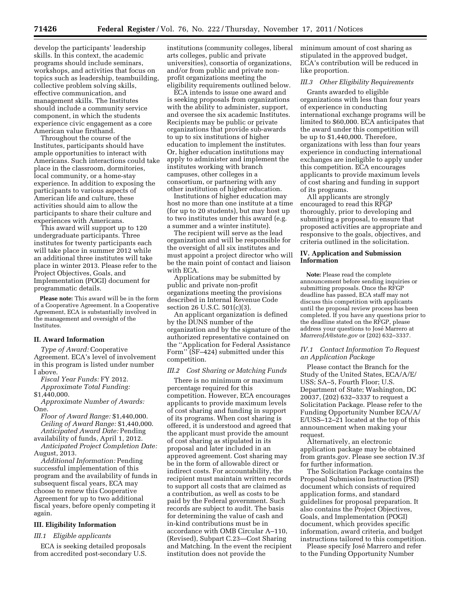develop the participants' leadership skills. In this context, the academic programs should include seminars, workshops, and activities that focus on topics such as leadership, teambuilding, collective problem solving skills, effective communication, and management skills. The Institutes should include a community service component, in which the students experience civic engagement as a core American value firsthand.

Throughout the course of the Institutes, participants should have ample opportunities to interact with Americans. Such interactions could take place in the classroom, dormitories, local community, or a home-stay experience. In addition to exposing the participants to various aspects of American life and culture, these activities should aim to allow the participants to share their culture and experiences with Americans.

This award will support up to 120 undergraduate participants. Three institutes for twenty participants each will take place in summer 2012 while an additional three institutes will take place in winter 2013. Please refer to the Project Objectives, Goals, and Implementation (POGI) document for programmatic details.

**Please note:** This award will be in the form of a Cooperative Agreement. In a Cooperative Agreement, ECA is substantially involved in the management and oversight of the Institutes.

# **II. Award Information**

*Type of Award:* Cooperative Agreement. ECA's level of involvement in this program is listed under number I above.

*Fiscal Year Funds:* FY 2012.

*Approximate Total Funding:*  \$1,440,000.

*Approximate Number of Awards:*  One.

*Floor of Award Range:* \$1,440,000. *Ceiling of Award Range:* \$1,440,000. *Anticipated Award Date:* Pending

availability of funds, April 1, 2012. *Anticipated Project Completion Date:*  August, 2013.

*Additional Information:* Pending successful implementation of this program and the availability of funds in subsequent fiscal years, ECA may choose to renew this Cooperative Agreement for up to two additional fiscal years, before openly competing it again.

# **III. Eligibility Information**

### *III.1 Eligible applicants*

ECA is seeking detailed proposals from accredited post-secondary U.S.

institutions (community colleges, liberal arts colleges, public and private universities), consortia of organizations, and/or from public and private nonprofit organizations meeting the eligibility requirements outlined below.

ECA intends to issue one award and is seeking proposals from organizations with the ability to administer, support, and oversee the six academic Institutes. Recipients may be public or private organizations that provide sub-awards to up to six institutions of higher education to implement the institutes. Or, higher education institutions may apply to administer and implement the institutes working with branch campuses, other colleges in a consortium, or partnering with any other institution of higher education.

Institutions of higher education may host no more than one institute at a time (for up to 20 students), but may host up to two institutes under this award (e.g. a summer and a winter institute).

The recipient will serve as the lead organization and will be responsible for the oversight of all six institutes and must appoint a project director who will be the main point of contact and liaison with ECA.

Applications may be submitted by public and private non-profit organizations meeting the provisions described in Internal Revenue Code section 26 U.S.C. 501(c)(3).

An applicant organization is defined by the DUNS number of the organization and by the signature of the authorized representative contained on the ''Application for Federal Assistance Form'' (SF–424) submitted under this competition.

#### *III.2 Cost Sharing or Matching Funds*

There is no minimum or maximum percentage required for this competition. However, ECA encourages applicants to provide maximum levels of cost sharing and funding in support of its programs. When cost sharing is offered, it is understood and agreed that the applicant must provide the amount of cost sharing as stipulated in its proposal and later included in an approved agreement. Cost sharing may be in the form of allowable direct or indirect costs. For accountability, the recipient must maintain written records to support all costs that are claimed as a contribution, as well as costs to be paid by the Federal government. Such records are subject to audit. The basis for determining the value of cash and in-kind contributions must be in accordance with OMB Circular A–110, (Revised), Subpart C.23—Cost Sharing and Matching. In the event the recipient institution does not provide the

minimum amount of cost sharing as stipulated in the approved budget, ECA's contribution will be reduced in like proportion.

### *III.3 Other Eligibility Requirements*

Grants awarded to eligible organizations with less than four years of experience in conducting international exchange programs will be limited to \$60,000. ECA anticipates that the award under this competition will be up to \$1,440,000. Therefore, organizations with less than four years experience in conducting international exchanges are ineligible to apply under this competition. ECA encourages applicants to provide maximum levels of cost sharing and funding in support of its programs.

All applicants are strongly encouraged to read this RFGP thoroughly, prior to developing and submitting a proposal, to ensure that proposed activities are appropriate and responsive to the goals, objectives, and criteria outlined in the solicitation.

### **IV. Application and Submission Information**

**Note:** Please read the complete announcement before sending inquiries or submitting proposals. Once the RFGP deadline has passed, ECA staff may not discuss this competition with applicants until the proposal review process has been completed. If you have any questions prior to the deadline stated on the RFGP, please address your questions to Jose´ Marrero at *[MarreroJA@state.gov](mailto:MarreroJA@state.gov)* or (202) 632–3337.

## *IV.1 Contact Information To Request an Application Package*

Please contact the Branch for the Study of the United States, ECA/A/E/ USS; SA–5, Fourth Floor; U.S. Department of State; Washington, DC 20037, (202) 632–3337 to request a Solicitation Package. Please refer to the Funding Opportunity Number ECA/A/ E/USS–12–21 located at the top of this announcement when making your request.

Alternatively, an electronic application package may be obtained from grants.gov. Please see section IV.3f for further information.

The Solicitation Package contains the Proposal Submission Instruction (PSI) document which consists of required application forms, and standard guidelines for proposal preparation. It also contains the Project Objectives, Goals, and Implementation (POGI) document, which provides specific information, award criteria, and budget instructions tailored to this competition.

Please specify José Marrero and refer to the Funding Opportunity Number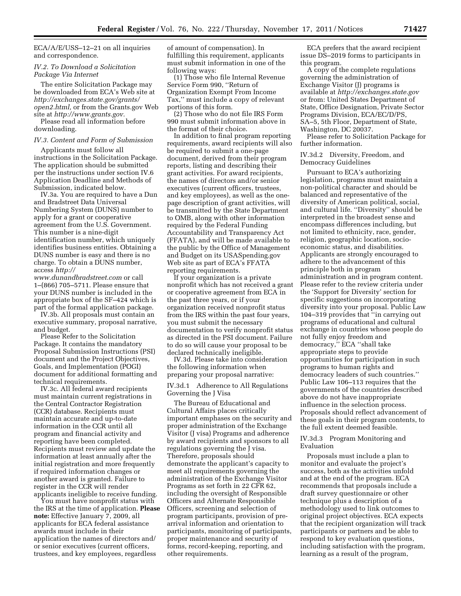ECA/A/E/USS–12–21 on all inquiries and correspondence.

## *IV.2. To Download a Solicitation Package Via Internet*

The entire Solicitation Package may be downloaded from ECA's Web site at *[http://exchanges.state.gov/grants/](http://exchanges.state.gov/grants/open2.html)  [open2.html,](http://exchanges.state.gov/grants/open2.html)* or from the Grants.gov Web site at *[http://www.grants.gov.](http://www.grants.gov)* 

Please read all information before downloading.

### *IV.3. Content and Form of Submission*

Applicants must follow all instructions in the Solicitation Package. The application should be submitted per the instructions under section IV.6 Application Deadline and Methods of Submission, indicated below.

IV.3a. You are required to have a Dun and Bradstreet Data Universal Numbering System (DUNS) number to apply for a grant or cooperative agreement from the U.S. Government. This number is a nine-digit identification number, which uniquely identifies business entities. Obtaining a DUNS number is easy and there is no charge. To obtain a DUNS number, access *[http://](http://www.dunandbradstreet.com)* 

*[www.dunandbradstreet.com](http://www.dunandbradstreet.com)* or call 1–(866) 705–5711. Please ensure that your DUNS number is included in the appropriate box of the SF–424 which is part of the formal application package.

IV.3b. All proposals must contain an executive summary, proposal narrative, and budget.

Please Refer to the Solicitation Package. It contains the mandatory Proposal Submission Instructions (PSI) document and the Project Objectives, Goals, and Implementation (POGI) document for additional formatting and technical requirements.

IV.3c. All federal award recipients must maintain current registrations in the Central Contractor Registration (CCR) database. Recipients must maintain accurate and up-to-date information in the CCR until all program and financial activity and reporting have been completed. Recipients must review and update the information at least annually after the initial registration and more frequently if required information changes or another award is granted. Failure to register in the CCR will render applicants ineligible to receive funding.

You must have nonprofit status with the IRS at the time of application. **Please note:** Effective January 7, 2009, all applicants for ECA federal assistance awards must include in their application the names of directors and/ or senior executives (current officers, trustees, and key employees, regardless

of amount of compensation). In fulfilling this requirement, applicants must submit information in one of the following ways:

(1) Those who file Internal Revenue Service Form 990, ''Return of Organization Exempt From Income Tax,'' must include a copy of relevant portions of this form.

(2) Those who do not file IRS Form 990 must submit information above in the format of their choice.

In addition to final program reporting requirements, award recipients will also be required to submit a one-page document, derived from their program reports, listing and describing their grant activities. For award recipients, the names of directors and/or senior executives (current officers, trustees, and key employees), as well as the onepage description of grant activities, will be transmitted by the State Department to OMB, along with other information required by the Federal Funding Accountability and Transparency Act (FFATA), and will be made available to the public by the Office of Management and Budget on its USASpending.gov Web site as part of ECA's FFATA reporting requirements.

If your organization is a private nonprofit which has not received a grant or cooperative agreement from ECA in the past three years, or if your organization received nonprofit status from the IRS within the past four years, you must submit the necessary documentation to verify nonprofit status as directed in the PSI document. Failure to do so will cause your proposal to be declared technically ineligible.

IV.3d. Please take into consideration the following information when preparing your proposal narrative:

IV.3d.1 Adherence to All Regulations Governing the J Visa

The Bureau of Educational and Cultural Affairs places critically important emphases on the security and proper administration of the Exchange Visitor (J visa) Programs and adherence by award recipients and sponsors to all regulations governing the J visa. Therefore, proposals should demonstrate the applicant's capacity to meet all requirements governing the administration of the Exchange Visitor Programs as set forth in 22 CFR 62, including the oversight of Responsible Officers and Alternate Responsible Officers, screening and selection of program participants, provision of prearrival information and orientation to participants, monitoring of participants, proper maintenance and security of forms, record-keeping, reporting, and other requirements.

ECA prefers that the award recipient issue DS–2019 forms to participants in this program.

A copy of the complete regulations governing the administration of Exchange Visitor (J) programs is available at *<http://exchanges.state.gov>* or from: United States Department of State, Office Designation, Private Sector Programs Division, ECA/EC/D/PS, SA–5, 5th Floor, Department of State, Washington, DC 20037.

Please refer to Solicitation Package for further information.

IV.3d.2 Diversity, Freedom, and Democracy Guidelines

Pursuant to ECA's authorizing legislation, programs must maintain a non-political character and should be balanced and representative of the diversity of American political, social, and cultural life. ''Diversity'' should be interpreted in the broadest sense and encompass differences including, but not limited to ethnicity, race, gender, religion, geographic location, socioeconomic status, and disabilities. Applicants are strongly encouraged to adhere to the advancement of this principle both in program administration and in program content. Please refer to the review criteria under the 'Support for Diversity' section for specific suggestions on incorporating diversity into your proposal. Public Law 104–319 provides that ''in carrying out programs of educational and cultural exchange in countries whose people do not fully enjoy freedom and democracy,'' ECA ''shall take appropriate steps to provide opportunities for participation in such programs to human rights and democracy leaders of such countries.'' Public Law 106–113 requires that the governments of the countries described above do not have inappropriate influence in the selection process. Proposals should reflect advancement of these goals in their program contents, to the full extent deemed feasible.

## IV.3d.3 Program Monitoring and Evaluation

Proposals must include a plan to monitor and evaluate the project's success, both as the activities unfold and at the end of the program. ECA recommends that proposals include a draft survey questionnaire or other technique plus a description of a methodology used to link outcomes to original project objectives. ECA expects that the recipient organization will track participants or partners and be able to respond to key evaluation questions, including satisfaction with the program, learning as a result of the program,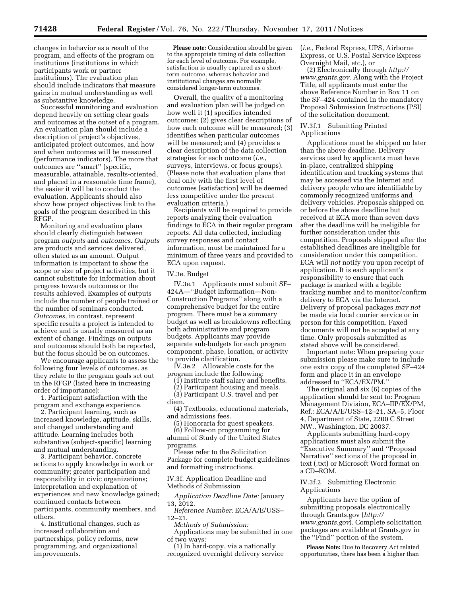changes in behavior as a result of the program, and effects of the program on institutions (institutions in which participants work or partner institutions). The evaluation plan should include indicators that measure gains in mutual understanding as well as substantive knowledge.

Successful monitoring and evaluation depend heavily on setting clear goals and outcomes at the outset of a program. An evaluation plan should include a description of project's objectives, anticipated project outcomes, and how and when outcomes will be measured (performance indicators). The more that outcomes are ''smart'' (specific, measurable, attainable, results-oriented, and placed in a reasonable time frame), the easier it will be to conduct the evaluation. Applicants should also show how project objectives link to the goals of the program described in this RFGP.

Monitoring and evaluation plans should clearly distinguish between program *outputs* and *outcomes. Outputs*  are products and services delivered, often stated as an amount. Output information is important to show the scope or size of project activities, but it cannot substitute for information about progress towards outcomes or the results achieved. Examples of outputs include the number of people trained or the number of seminars conducted. *Outcomes,* in contrast, represent specific results a project is intended to achieve and is usually measured as an extent of change. Findings on outputs and outcomes should both be reported, but the focus should be on outcomes.

We encourage applicants to assess the following four levels of outcomes, as they relate to the program goals set out in the RFGP (listed here in increasing order of importance):

1. Participant satisfaction with the program and exchange experience.

2. Participant learning, such as increased knowledge, aptitude, skills, and changed understanding and attitude. Learning includes both substantive (subject-specific) learning and mutual understanding.

3. Participant behavior, concrete actions to apply knowledge in work or community; greater participation and responsibility in civic organizations; interpretation and explanation of experiences and new knowledge gained; continued contacts between participants, community members, and others.

4. Institutional changes, such as increased collaboration and partnerships, policy reforms, new programming, and organizational improvements.

**Please note:** Consideration should be given to the appropriate timing of data collection for each level of outcome. For example, satisfaction is usually captured as a shortterm outcome, whereas behavior and institutional changes are normally considered longer-term outcomes.

Overall, the quality of a monitoring and evaluation plan will be judged on how well it (1) specifies intended outcomes; (2) gives clear descriptions of how each outcome will be measured; (3) identifies when particular outcomes will be measured; and (4) provides a clear description of the data collection strategies for each outcome (*i.e.*, surveys, interviews, or focus groups). (Please note that evaluation plans that deal only with the first level of outcomes [satisfaction] will be deemed less competitive under the present evaluation criteria.)

Recipients will be required to provide reports analyzing their evaluation findings to ECA in their regular program reports. All data collected, including survey responses and contact information, must be maintained for a minimum of three years and provided to ECA upon request.

#### IV.3e. Budget

IV.3e.1 Applicants must submit SF– 424A—''Budget Information—Non-Construction Programs'' along with a comprehensive budget for the entire program. There must be a summary budget as well as breakdowns reflecting both administrative and program budgets. Applicants may provide separate sub-budgets for each program component, phase, location, or activity to provide clarification.

IV.3e.2 Allowable costs for the program include the following:

(1) Institute staff salary and benefits.

(2) Participant housing and meals.

(3) Participant U.S. travel and per diem.

(4) Textbooks, educational materials, and admissions fees.

(5) Honoraria for guest speakers.

(6) Follow-on programming for alumni of Study of the United States programs.

Please refer to the Solicitation Package for complete budget guidelines and formatting instructions.

IV.3f. Application Deadline and Methods of Submission

*Application Deadline Date:* January 13, 2012.

*Reference Number:* ECA/A/E/USS– 12–21.

*Methods of Submission:* 

Applications may be submitted in one of two ways:

(1) In hard-copy, via a nationally recognized overnight delivery service (*i.e.*, Federal Express, UPS, Airborne Express, or U.S. Postal Service Express Overnight Mail, etc.), or

(2) Electronically through *[http://](http://www.grants.gov)  [www.grants.gov.](http://www.grants.gov)* Along with the Project Title, all applicants must enter the above Reference Number in Box 11 on the SF–424 contained in the mandatory Proposal Submission Instructions (PSI) of the solicitation document.

## IV.3f.1 Submitting Printed Applications

Applications must be shipped no later than the above deadline. Delivery services used by applicants must have in-place, centralized shipping identification and tracking systems that may be accessed via the Internet and delivery people who are identifiable by commonly recognized uniforms and delivery vehicles. Proposals shipped on or before the above deadline but received at ECA more than seven days after the deadline will be ineligible for further consideration under this competition. Proposals shipped after the established deadlines are ineligible for consideration under this competition. ECA will *not* notify you upon receipt of application. It is each applicant's responsibility to ensure that each package is marked with a legible tracking number and to monitor/confirm delivery to ECA via the Internet. Delivery of proposal packages *may not*  be made via local courier service or in person for this competition. Faxed documents will not be accepted at any time. Only proposals submitted as stated above will be considered.

Important note: When preparing your submission please make sure to include one extra copy of the completed SF–424 form and place it in an envelope addressed to ''ECA/EX/PM.''

The original and six (6) copies of the application should be sent to: Program Management Division, ECA–IIP/EX/PM, Ref.: ECA/A/E/USS–12–21, SA–5, Floor 4, Department of State, 2200 C Street NW., Washington, DC 20037.

Applicants submitting hard-copy applications must also submit the ''Executive Summary'' and ''Proposal Narrative'' sections of the proposal in text (.txt) or Microsoft Word format on a CD–ROM.

### IV.3f.2 Submitting Electronic Applications

Applicants have the option of submitting proposals electronically through Grants.gov (*[http://](http://www.grants.gov)  [www.grants.gov](http://www.grants.gov)*). Complete solicitation packages are available at Grants.gov in the ''Find'' portion of the system.

**Please Note:** Due to Recovery Act related opportunities, there has been a higher than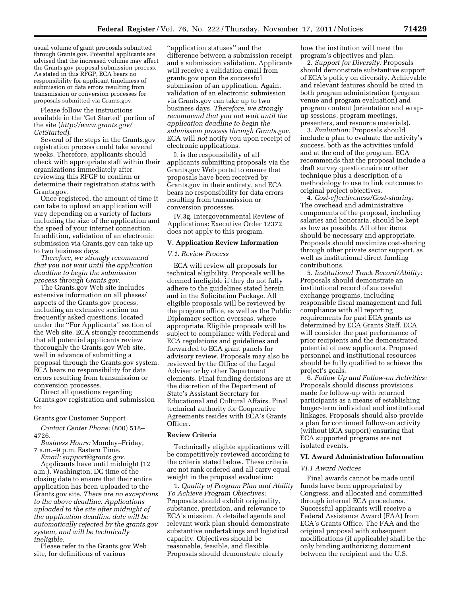usual volume of grant proposals submitted through Grants.gov. Potential applicants are advised that the increased volume may affect the Grants.gov proposal submission process. As stated in this RFGP, ECA bears no responsibility for applicant timeliness of submission or data errors resulting from transmission or conversion processes for proposals submitted via Grants.gov.

Please follow the instructions available in the 'Get Started' portion of the site (*[http://www.grants.gov/](http://www.grants.gov/GetStarted)  [GetStarted](http://www.grants.gov/GetStarted)*).

Several of the steps in the Grants.gov registration process could take several weeks. Therefore, applicants should check with appropriate staff within their organizations immediately after reviewing this RFGP to confirm or determine their registration status with Grants.gov.

Once registered, the amount of time it can take to upload an application will vary depending on a variety of factors including the size of the application and the speed of your internet connection. In addition, validation of an electronic submission via Grants.gov can take up to two business days.

*Therefore, we strongly recommend that you not wait until the application deadline to begin the submission process through Grants.gov.* 

The Grants.gov Web site includes extensive information on all phases/ aspects of the Grants.gov process, including an extensive section on frequently asked questions, located under the ''For Applicants'' section of the Web site. ECA strongly recommends that all potential applicants review thoroughly the Grants.gov Web site, well in advance of submitting a proposal through the Grants.gov system. ECA bears no responsibility for data errors resulting from transmission or conversion processes.

Direct all questions regarding Grants.gov registration and submission to:

Grants.gov Customer Support

*Contact Center Phone:* (800) 518– 4726.

*Business Hours:* Monday–Friday, 7 a.m.–9 p.m. Eastern Time.

*Email: [support@grants.gov.](mailto:support@grants.gov)* 

Applicants have until midnight (12 a.m.), Washington, DC time of the closing date to ensure that their entire application has been uploaded to the Grants.gov site. *There are no exceptions to the above deadline. Applications uploaded to the site after midnight of the application deadline date will be automatically rejected by the grants.gov system, and will be technically ineligible.* 

Please refer to the Grants.gov Web site, for definitions of various

''application statuses'' and the difference between a submission receipt and a submission validation. Applicants will receive a validation email from grants.gov upon the successful submission of an application. Again, validation of an electronic submission via Grants.gov can take up to two business days. *Therefore, we strongly recommend that you not wait until the application deadline to begin the submission process through Grants.gov.*  ECA will *not* notify you upon receipt of electronic applications.

It is the responsibility of all applicants submitting proposals via the Grants.gov Web portal to ensure that proposals have been received by Grants.gov in their entirety, and ECA bears no responsibility for data errors resulting from transmission or conversion processes.

IV.3g. Intergovernmental Review of Applications: Executive Order 12372 does not apply to this program.

### **V. Application Review Information**

#### *V.1. Review Process*

ECA will review all proposals for technical eligibility. Proposals will be deemed ineligible if they do not fully adhere to the guidelines stated herein and in the Solicitation Package. All eligible proposals will be reviewed by the program office, as well as the Public Diplomacy section overseas, where appropriate. Eligible proposals will be subject to compliance with Federal and ECA regulations and guidelines and forwarded to ECA grant panels for advisory review. Proposals may also be reviewed by the Office of the Legal Adviser or by other Department elements. Final funding decisions are at the discretion of the Department of State's Assistant Secretary for Educational and Cultural Affairs. Final technical authority for Cooperative Agreements resides with ECA's Grants Officer.

## **Review Criteria**

Technically eligible applications will be competitively reviewed according to the criteria stated below. These criteria are not rank ordered and all carry equal weight in the proposal evaluation:

1. *Quality of Program Plan and Ability To Achieve Program Objectives:*  Proposals should exhibit originality, substance, precision, and relevance to ECA's mission. A detailed agenda and relevant work plan should demonstrate substantive undertakings and logistical capacity. Objectives should be reasonable, feasible, and flexible. Proposals should demonstrate clearly

how the institution will meet the program's objectives and plan.

2. *Support for Diversity:* Proposals should demonstrate substantive support of ECA's policy on diversity. Achievable and relevant features should be cited in both program administration (program venue and program evaluation) and program content (orientation and wrapup sessions, program meetings, presenters, and resource materials).

3. *Evaluation:* Proposals should include a plan to evaluate the activity's success, both as the activities unfold and at the end of the program. ECA recommends that the proposal include a draft survey questionnaire or other technique plus a description of a methodology to use to link outcomes to original project objectives.

4. *Cost-effectiveness/Cost-sharing:*  The overhead and administrative components of the proposal, including salaries and honoraria, should be kept as low as possible. All other items should be necessary and appropriate. Proposals should maximize cost-sharing through other private sector support, as well as institutional direct funding contributions.

5. *Institutional Track Record/Ability:*  Proposals should demonstrate an institutional record of successful exchange programs, including responsible fiscal management and full compliance with all reporting requirements for past ECA grants as determined by ECA Grants Staff. ECA will consider the past performance of prior recipients and the demonstrated potential of new applicants. Proposed personnel and institutional resources should be fully qualified to achieve the project's goals.

6. *Follow Up and Follow-on Activities:*  Proposals should discuss provisions made for follow-up with returned participants as a means of establishing longer-term individual and institutional linkages. Proposals should also provide a plan for continued follow-on activity (without ECA support) ensuring that ECA supported programs are not isolated events.

### **VI. Award Administration Information**

### *VI.1 Award Notices*

Final awards cannot be made until funds have been appropriated by Congress, and allocated and committed through internal ECA procedures. Successful applicants will receive a Federal Assistance Award (FAA) from ECA's Grants Office. The FAA and the original proposal with subsequent modifications (if applicable) shall be the only binding authorizing document between the recipient and the U.S.